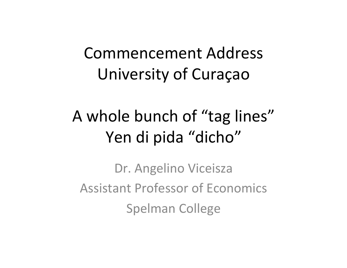### Commencement Address University of Curaçao

### A whole bunch of "tag lines" Yen di pida "dicho"

Dr. Angelino Viceisza Assistant Professor of Economics Spelman College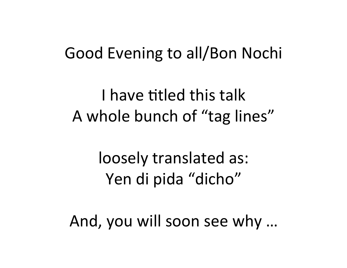#### Good Evening to all/Bon Nochi

I have titled this talk A whole bunch of "tag lines"

> loosely translated as: Yen di pida "dicho"

And, you will soon see why ...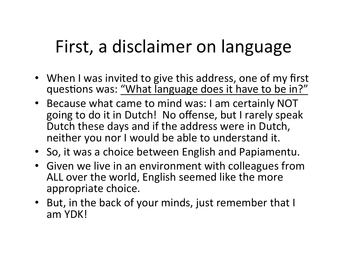# First, a disclaimer on language

- When I was invited to give this address, one of my first questions was: "What language does it have to be in?"
- Because what came to mind was: I am certainly NOT going to do it in Dutch! No offense, but I rarely speak Dutch these days and if the address were in Dutch, neither you nor I would be able to understand it.
- So, it was a choice between English and Papiamentu.
- Given we live in an environment with colleagues from ALL over the world, English seemed like the more appropriate choice.
- But, in the back of your minds, just remember that I am YDK!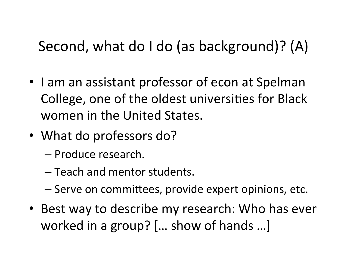#### Second, what do I do (as background)? (A)

- I am an assistant professor of econ at Spelman College, one of the oldest universities for Black women in the United States.
- What do professors do?
	- Produce research.
	- $-$  Teach and mentor students.
	- Serve on committees, provide expert opinions, etc.
- Best way to describe my research: Who has ever worked in a group? [... show of hands ...]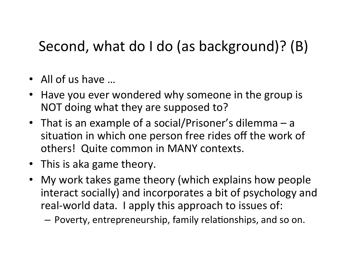#### Second, what do I do (as background)? (B)

- All of us have  $\ldots$
- Have you ever wondered why someone in the group is NOT doing what they are supposed to?
- That is an example of a social/Prisoner's dilemma  $-$  a situation in which one person free rides off the work of others! Quite common in MANY contexts.
- This is aka game theory.
- My work takes game theory (which explains how people interact socially) and incorporates a bit of psychology and real-world data. I apply this approach to issues of:

 $-$  Poverty, entrepreneurship, family relationships, and so on.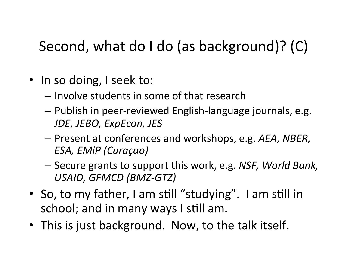#### Second, what do I do (as background)? (C)

- In so doing, I seek to:
	- $-$  Involve students in some of that research
	- Publish in peer-reviewed English-language journals, e.g. *JDE, 
	 JEBO, 
	 ExpEcon, 
	 JES*
	- Present at conferences and workshops, e.g. AEA, NBER, ESA, EMiP (Curaçao)
	- Secure grants to support this work, e.g. NSF, World Bank, USAID, GFMCD (BMZ-GTZ)
- So, to my father, I am still "studying". I am still in school; and in many ways I still am.
- This is just background. Now, to the talk itself.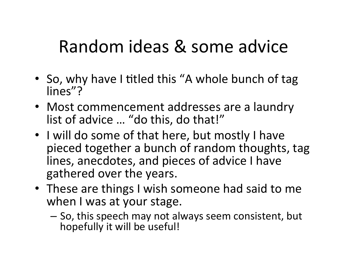### Random ideas & some advice

- So, why have I titled this "A whole bunch of tag lines"?
- Most commencement addresses are a laundry list of advice ... "do this, do that!"
- I will do some of that here, but mostly I have pieced together a bunch of random thoughts, tag lines, anecdotes, and pieces of advice I have gathered over the years.
- These are things I wish someone had said to me when I was at your stage.
	- $-$  So, this speech may not always seem consistent, but hopefully it will be useful!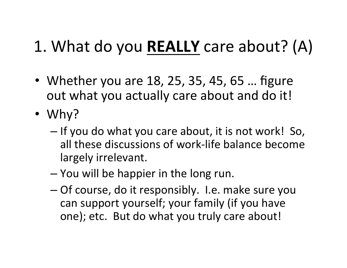### 1. What do you **REALLY** care about? (A)

- Whether you are 18, 25, 35, 45, 65 ... figure out what you actually care about and do it!
- Why?
	- If you do what you care about, it is not work! So, all these discussions of work-life balance become largely irrelevant.
	- You will be happier in the long run.
	- Of course, do it responsibly. I.e. make sure you can support yourself; your family (if you have one); etc. But do what you truly care about!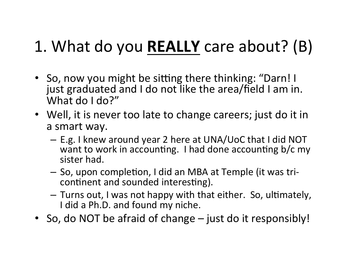### 1. What do you **REALLY** care about? (B)

- So, now you might be sitting there thinking: "Darn! I just graduated and I do not like the area/field I am in. What do I do?"
- Well, it is never too late to change careers; just do it in a smart way.
	- E.g. I knew around year 2 here at UNA/UoC that I did NOT want to work in accounting. I had done accounting b/c my sister had.
	- So, upon completion, I did an MBA at Temple (it was tricontinent and sounded interesting).
	- Turns out, I was not happy with that either. So, ultimately, I did a Ph.D. and found my niche.
- So, do NOT be afraid of change just do it responsibly!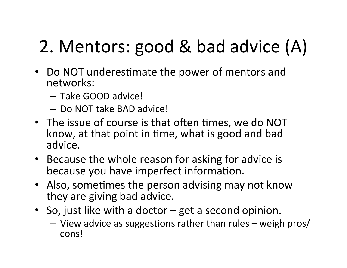# 2. Mentors: good & bad advice (A)

- Do NOT underestimate the power of mentors and networks:
	- $-$  Take GOOD advice!
	- Do NOT take BAD advice!
- The issue of course is that often times, we do NOT know, at that point in time, what is good and bad advice.
- Because the whole reason for asking for advice is because you have imperfect information.
- Also, sometimes the person advising may not know they are giving bad advice.
- So, just like with a doctor  $-$  get a second opinion.
	- View advice as suggestions rather than rules weigh pros/ cons!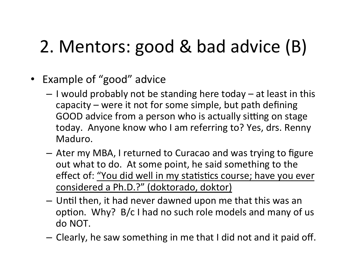## 2. Mentors: good & bad advice (B)

- Example of "good" advice
	- I would probably not be standing here today at least in this capacity  $-$  were it not for some simple, but path defining GOOD advice from a person who is actually sitting on stage today. Anyone know who I am referring to? Yes, drs. Renny Maduro.
	- Ater my MBA, I returned to Curacao and was trying to figure out what to do. At some point, he said something to the effect of: "You did well in my statistics course; have you ever considered a Ph.D.?" (doktorado, doktor)
	- Until then, it had never dawned upon me that this was an option. Why?  $B/c$  I had no such role models and many of us do 
	 NOT.
	- Clearly, he saw something in me that I did not and it paid off.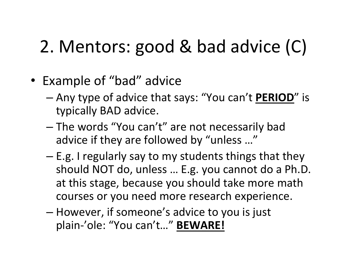## 2. Mentors: good & bad advice (C)

- Example of "bad" advice
	- Any type of advice that says: "You can't **PERIOD**" is typically BAD advice.
	- The words "You can't" are not necessarily bad advice if they are followed by "unless ..."
	- E.g. I regularly say to my students things that they should NOT do, unless ... E.g. you cannot do a Ph.D. at this stage, because you should take more math courses or you need more research experience.
	- However, if someone's advice to you is just plain-'ole: "You can't..." BEWARE!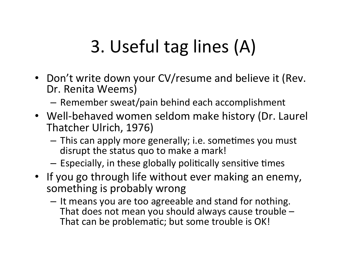# 3. Useful tag lines (A)

- Don't write down your CV/resume and believe it (Rev. Dr. Renita Weems)
	- $-$  Remember sweat/pain behind each accomplishment
- Well-behaved women seldom make history (Dr. Laurel Thatcher Ulrich, 1976)
	- This can apply more generally; i.e. sometimes you must disrupt the status quo to make a mark!
	- $-$  Especially, in these globally politically sensitive times
- If you go through life without ever making an enemy, something is probably wrong
	- It means you are too agreeable and stand for nothing. That does not mean you should always cause trouble  $-$ That can be problematic; but some trouble is OK!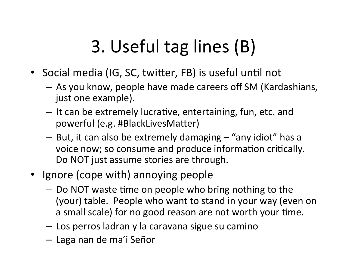# 3. Useful tag lines (B)

- Social media (IG, SC, twitter, FB) is useful until not
	- As you know, people have made careers off SM (Kardashians, just one example).
	- It can be extremely lucrative, entertaining, fun, etc. and powerful (e.g. #BlackLivesMatter)
	- But, it can also be extremely damaging "any idiot" has a voice now; so consume and produce information critically. Do NOT just assume stories are through.
- Ignore (cope with) annoying people
	- Do NOT waste time on people who bring nothing to the (your) table. People who want to stand in your way (even on a small scale) for no good reason are not worth your time.
	- Los perros ladran y la caravana sigue su camino
	- $-$  Laga nan de ma'i Señor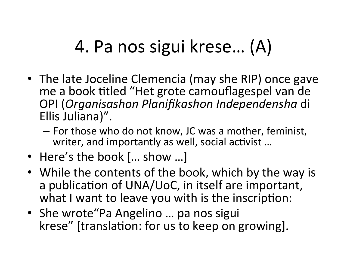# 4. Pa nos sigui krese... (A)

- The late Joceline Clemencia (may she RIP) once gave me a book titled "Het grote camouflagespel van de OPI 
 (*Organisashon Planifikashon Independensha* 
 di 
 Ellis Juliana)".
	- $-$  For those who do not know, JC was a mother, feminist, writer, and importantly as well, social activist ...
- Here's the book [... show ...]
- While the contents of the book, which by the way is a publication of UNA/UoC, in itself are important, what I want to leave you with is the inscription:
- She wrote "Pa Angelino ... pa nos sigui krese" [translation: for us to keep on growing].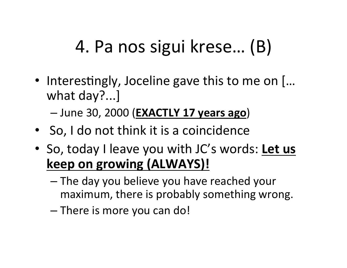# 4. Pa nos sigui krese... (B)

• Interestingly, Joceline gave this to me on  $[...]$ what day?...]

 $-$  June 30, 2000 (**EXACTLY 17 years ago**)

- So, I do not think it is a coincidence
- So, today I leave you with JC's words: Let us **keep on growing (ALWAYS)!** 
	- The day you believe you have reached your maximum, there is probably something wrong.
	- There is more you can do!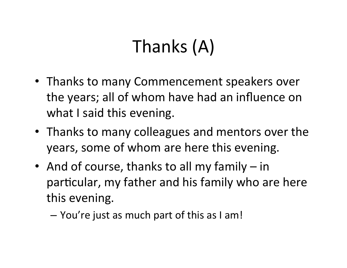# Thanks (A)

- Thanks to many Commencement speakers over the years; all of whom have had an influence on what I said this evening.
- Thanks to many colleagues and mentors over the years, some of whom are here this evening.
- And of course, thanks to all my family  $-$  in particular, my father and his family who are here this evening.
	- You're just as much part of this as I am!